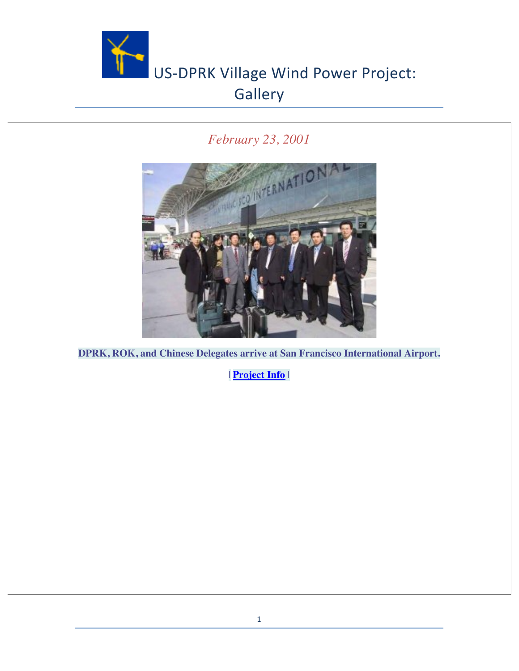

#### *February 23, 2001*



**DPRK, ROK, and Chinese Delegates arrive at San Francisco International Airport.**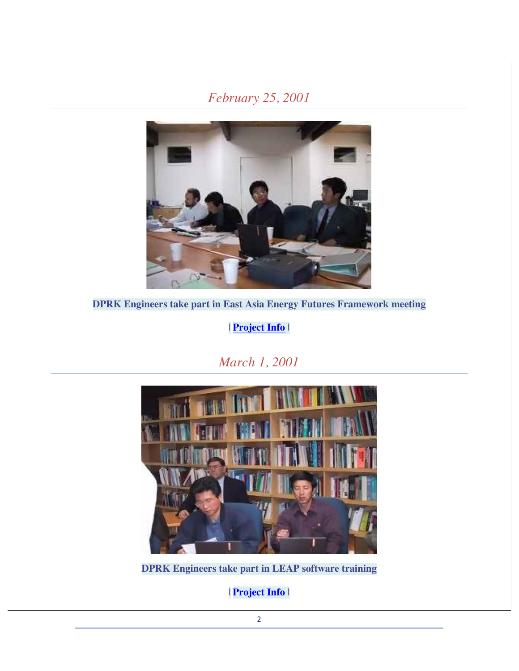#### *February 25, 2001*



**DPRK Engineers take part in East Asia Energy Futures Framework meeting**

| **Project Info** |

*March 1, 2001*



**DPRK Engineers take part in LEAP software training**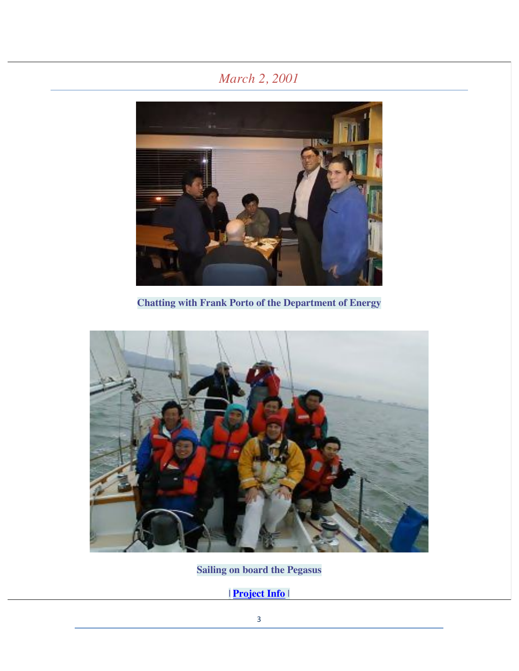# *March 2, 2001*



**Chatting with Frank Porto of the Department of Energy**



**Sailing on board the Pegasus**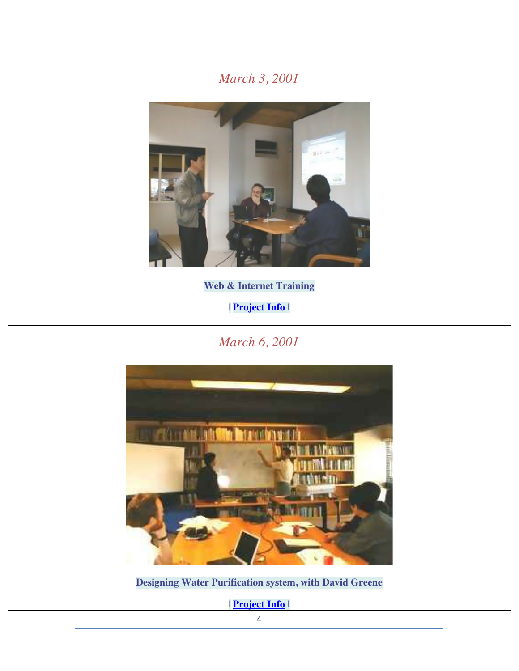## *March 3, 2001*



**Web & Internet Training**

| **Project Info** |

*March 6, 2001*



**Designing Water Purification system, with David Greene**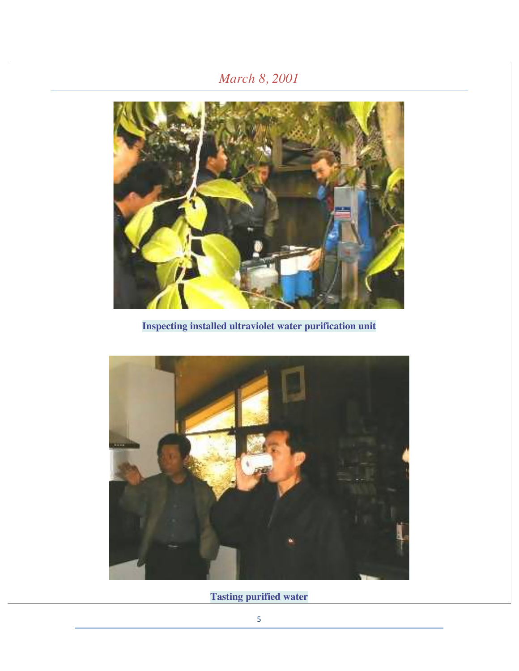## *March 8, 2001*



**Inspecting installed ultraviolet water purification unit**



**Tasting purified water**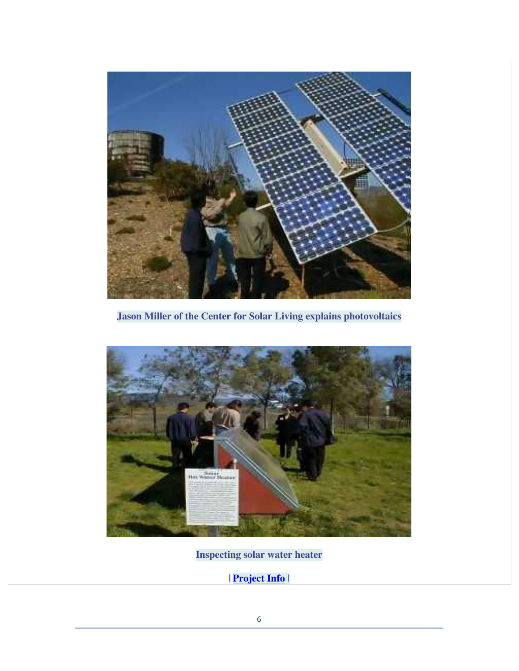

**Jason Miller of the Center for Solar Living explains photovoltaics**



**Inspecting solar water heater**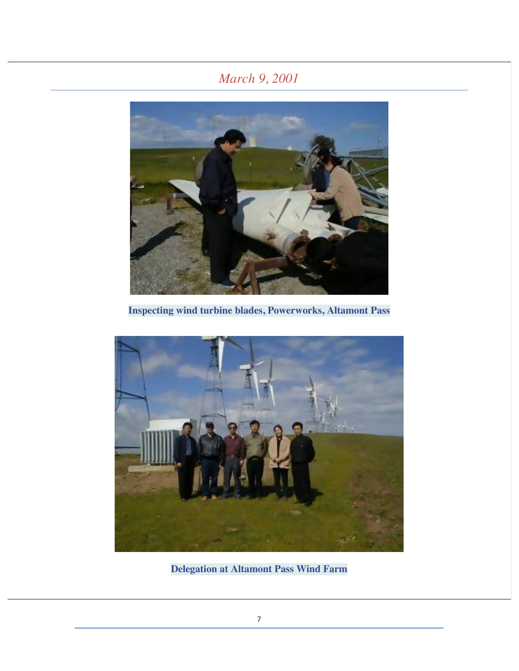## *March 9, 2001*



**Inspecting wind turbine blades, Powerworks, Altamont Pass**



**Delegation at Altamont Pass Wind Farm**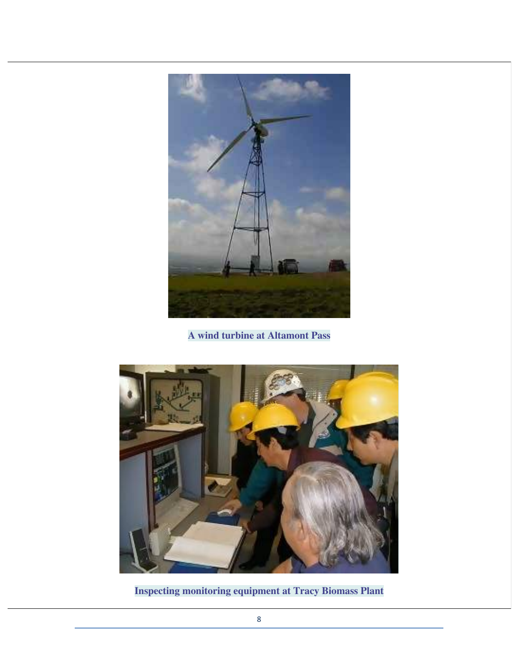

**A wind turbine at Altamont Pass**



**Inspecting monitoring equipment at Tracy Biomass Plant**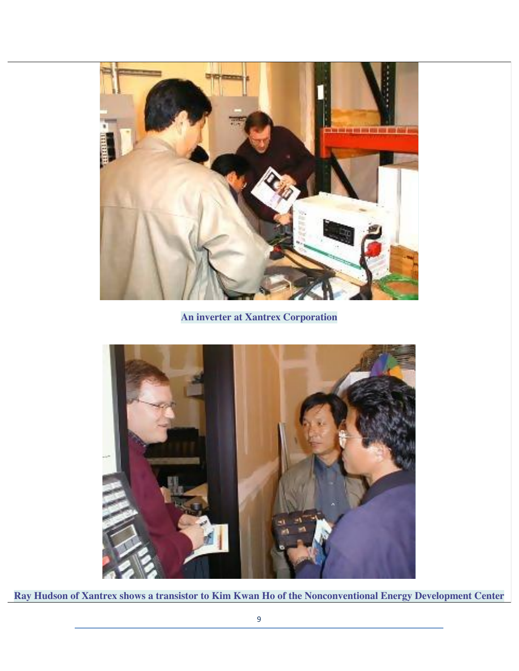

**An inverter at Xantrex Corporation**



**Ray Hudson of Xantrex shows a transistor to Kim Kwan Ho of the Nonconventional Energy Development Center**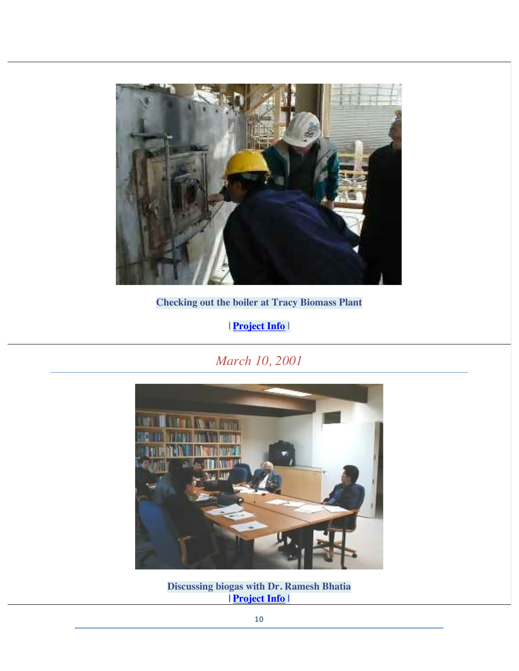

**Checking out the boiler at Tracy Biomass Plant**

| **Project Info** |

*March 10, 2001*



**Discussing biogas with Dr. Ramesh Bhatia** | **Project Info** |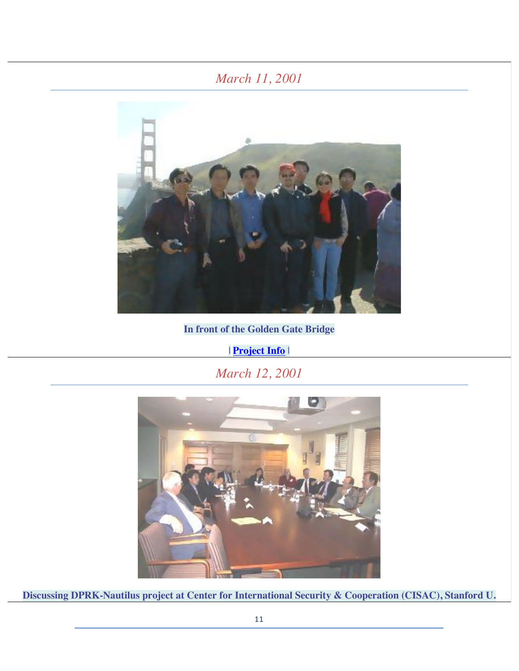#### *March 11, 2001*



**In front of the Golden Gate Bridge**

| **Project Info** |

*March 12, 2001*



**Discussing DPRK-Nautilus project at Center for International Security & Cooperation (CISAC), Stanford U.**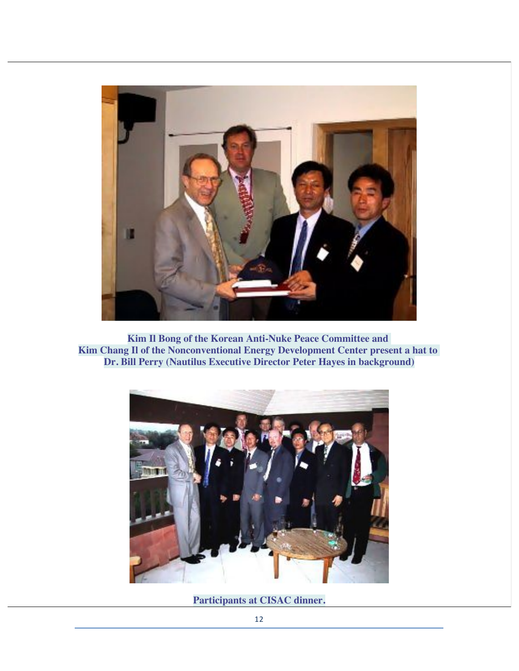

**Kim Il Bong of the Korean Anti-Nuke Peace Committee and Kim Chang Il of the Nonconventional Energy Development Center present a hat to Dr. Bill Perry (Nautilus Executive Director Peter Hayes in background)**



**Participants at CISAC dinner.**